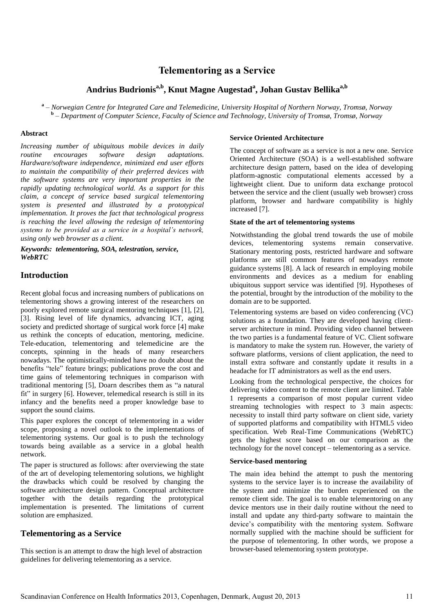# **Telementoring as a Service**

## **Andrius Budrionisa,b, Knut Magne Augestad<sup>a</sup> , Johan Gustav Bellikaa,b**

**a** *– Norwegian Centre for Integrated Care and Telemedicine, University Hospital of Northern Norway, Tromsø, Norway* **b** *– Department of Computer Science, Faculty of Science and Technology, University of Tromsø, Tromsø, Norway* 

#### **Abstract**

*Increasing number of ubiquitous mobile devices in daily routine encourages software design adaptations. Hardware/software independence, minimized end user efforts to maintain the compatibility of their preferred devices with the software systems are very important properties in the rapidly updating technological world. As a support for this claim, a concept of service based surgical telementoring system is presented and illustrated by a prototypical implementation. It proves the fact that technological progress is reaching the level allowing the redesign of telementoring systems to be provided as a service in a hospital's network, using only web browser as a client.* 

#### *Keywords: telementoring, SOA, telestration, service, WebRTC*

### **Introduction**

Recent global focus and increasing numbers of publications on telementoring shows a growing interest of the researchers on poorly explored remote surgical mentoring techniques [1], [2], [3]. Rising level of life dynamics, advancing ICT, aging society and predicted shortage of surgical work force [4] make us rethink the concepts of education, mentoring, medicine. Tele-education, telementoring and telemedicine are the concepts, spinning in the heads of many researchers nowadays. The optimistically-minded have no doubt about the benefits "tele" feature brings; publications prove the cost and time gains of telementoring techniques in comparison with traditional mentoring [5], Doarn describes them as "a natural fit" in surgery [6]. However, telemedical research is still in its infancy and the benefits need a proper knowledge base to support the sound claims.

This paper explores the concept of telementoring in a wider scope, proposing a novel outlook to the implementations of telementoring systems. Our goal is to push the technology towards being available as a service in a global health network.

The paper is structured as follows: after overviewing the state of the art of developing telementoring solutions, we highlight the drawbacks which could be resolved by changing the software architecture design pattern. Conceptual architecture together with the details regarding the prototypical implementation is presented. The limitations of current solution are emphasized.

### **Telementoring as a Service**

This section is an attempt to draw the high level of abstraction guidelines for delivering telementoring as a service.

#### **Service Oriented Architecture**

The concept of software as a service is not a new one. Service Oriented Architecture (SOA) is a well-established software architecture design pattern, based on the idea of developing platform-agnostic computational elements accessed by a lightweight client. Due to uniform data exchange protocol between the service and the client (usually web browser) cross platform, browser and hardware compatibility is highly increased [7].

#### **State of the art of telementoring systems**

Notwithstanding the global trend towards the use of mobile devices, telementoring systems remain conservative. Stationary mentoring posts, restricted hardware and software platforms are still common features of nowadays remote guidance systems [8]. A lack of research in employing mobile environments and devices as a medium for enabling ubiquitous support service was identified [9]. Hypotheses of the potential, brought by the introduction of the mobility to the domain are to be supported.

Telementoring systems are based on video conferencing (VC) solutions as a foundation. They are developed having clientserver architecture in mind. Providing video channel between the two parties is a fundamental feature of VC. Client software is mandatory to make the system run. However, the variety of software platforms, versions of client application, the need to install extra software and constantly update it results in a headache for IT administrators as well as the end users.

Looking from the technological perspective, the choices for delivering video content to the remote client are limited. Table 1 represents a comparison of most popular current video streaming technologies with respect to 3 main aspects: necessity to install third party software on client side, variety of supported platforms and compatibility with HTML5 video specification. Web Real-Time Communications (WebRTC) gets the highest score based on our comparison as the technology for the novel concept – telementoring as a service.

#### **Service-based mentoring**

The main idea behind the attempt to push the mentoring systems to the service layer is to increase the availability of the system and minimize the burden experienced on the remote client side. The goal is to enable telementoring on any device mentors use in their daily routine without the need to install and update any third-party software to maintain the device's compatibility with the mentoring system. Software normally supplied with the machine should be sufficient for the purpose of telementoring. In other words, we propose a browser-based telementoring system prototype.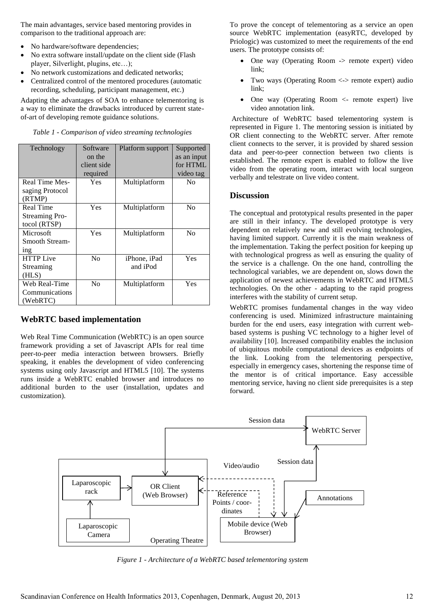The main advantages, service based mentoring provides in comparison to the traditional approach are:

- No hardware/software dependencies;
- No extra software install/update on the client side (Flash player, Silverlight, plugins, etc…);
- No network customizations and dedicated networks;
- Centralized control of the mentored procedures (automatic recording, scheduling, participant management, etc.)

Adapting the advantages of SOA to enhance telementoring is a way to eliminate the drawbacks introduced by current stateof-art of developing remote guidance solutions.

*Table 1 - Comparison of video streaming technologies* 

| Technology            | Software<br>on the<br>client side<br>required | Platform support | Supported<br>as an input<br>for HTML<br>video tag |
|-----------------------|-----------------------------------------------|------------------|---------------------------------------------------|
|                       |                                               |                  |                                                   |
| Real Time Mes-        | Yes                                           | Multiplatform    | N <sub>0</sub>                                    |
| saging Protocol       |                                               |                  |                                                   |
| (RTMP)                |                                               |                  |                                                   |
| <b>Real Time</b>      | Yes                                           | Multiplatform    | N <sub>0</sub>                                    |
| <b>Streaming Pro-</b> |                                               |                  |                                                   |
| tocol (RTSP)          |                                               |                  |                                                   |
| Microsoft             | Yes                                           | Multiplatform    | N <sub>0</sub>                                    |
| <b>Smooth Stream-</b> |                                               |                  |                                                   |
| 1 <sub>n</sub>        |                                               |                  |                                                   |
| <b>HTTP</b> Live      | N <sub>0</sub>                                | iPhone, iPad     | Yes                                               |
| Streaming             |                                               | and iPod         |                                                   |
| (HLS)                 |                                               |                  |                                                   |
| Web Real-Time         | No                                            | Multiplatform    | Yes                                               |
| Communications        |                                               |                  |                                                   |
| (WebRTC)              |                                               |                  |                                                   |

## **WebRTC based implementation**

Web Real Time Communication (WebRTC) is an open source framework providing a set of Javascript APIs for real time peer-to-peer media interaction between browsers. Briefly speaking, it enables the development of video conferencing systems using only Javascript and HTML5 [10]. The systems runs inside a WebRTC enabled browser and introduces no additional burden to the user (installation, updates and customization).

To prove the concept of telementoring as a service an open source WebRTC implementation (easyRTC, developed by Priologic) was customized to meet the requirements of the end users. The prototype consists of:

- One way (Operating Room -> remote expert) video link;
- Two ways (Operating Room <-> remote expert) audio link;
- One way (Operating Room <- remote expert) live video annotation link.

 Architecture of WebRTC based telementoring system is represented in Figure 1. The mentoring session is initiated by OR client connecting to the WebRTC server. After remote client connects to the server, it is provided by shared session data and peer-to-peer connection between two clients is established. The remote expert is enabled to follow the live video from the operating room, interact with local surgeon verbally and telestrate on live video content.

### **Discussion**

The conceptual and prototypical results presented in the paper are still in their infancy. The developed prototype is very dependent on relatively new and still evolving technologies, having limited support. Currently it is the main weakness of the implementation. Taking the perfect position for keeping up with technological progress as well as ensuring the quality of the service is a challenge. On the one hand, controlling the technological variables, we are dependent on, slows down the application of newest achievements in WebRTC and HTML5 technologies. On the other - adapting to the rapid progress interferes with the stability of current setup.

WebRTC promises fundamental changes in the way video conferencing is used. Minimized infrastructure maintaining burden for the end users, easy integration with current webbased systems is pushing VC technology to a higher level of availability [10]. Increased compatibility enables the inclusion of ubiquitous mobile computational devices as endpoints of the link. Looking from the telementoring perspective, especially in emergency cases, shortening the response time of the mentor is of critical importance. Easy accessible mentoring service, having no client side prerequisites is a step forward.



*Figure 1 - Architecture of a WebRTC based telementoring system*